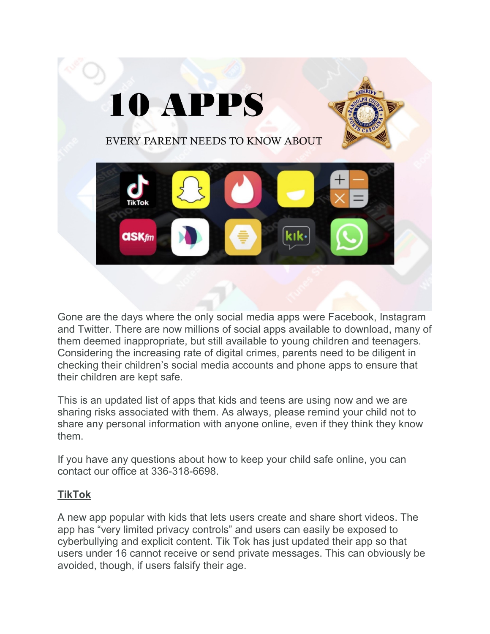

Gone are the days where the only social media apps were Facebook, Instagram and Twitter. There are now millions of social apps available to download, many of them deemed inappropriate, but still available to young children and teenagers. Considering the increasing rate of digital crimes, parents need to be diligent in checking their children's social media accounts and phone apps to ensure that their children are kept safe.

This is an updated list of apps that kids and teens are using now and we are sharing risks associated with them. As always, please remind your child not to share any personal information with anyone online, even if they think they know them.

If you have any questions about how to keep your child safe online, you can contact our office at 336-318-6698.

## **TikTok**

A new app popular with kids that lets users create and share short videos. The app has "very limited privacy controls" and users can easily be exposed to cyberbullying and explicit content. Tik Tok has just updated their app so that users under 16 cannot receive or send private messages. This can obviously be avoided, though, if users falsify their age.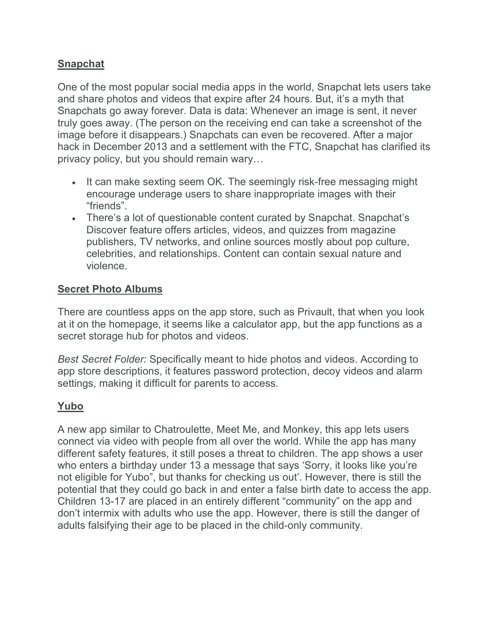## **Snapchat**

One of the most popular social media apps in the world, Snapchat lets users take and share photos and videos that expire after 24 hours. But, it's a myth that Snapchats go away forever. Data is data: Whenever an image is sent, it never truly goes away. (The person on the receiving end can take a screenshot of the image before it disappears.) Snapchats can even be recovered. After a major hack in December 2013 and a settlement with the FTC, Snapchat has clarified its privacy policy, but you should remain wary…

- It can make sexting seem OK. The seemingly risk-free messaging might encourage underage users to share inappropriate images with their "friends".
- There's a lot of questionable content curated by Snapchat. Snapchat's Discover feature offers articles, videos, and quizzes from magazine publishers, TV networks, and online sources mostly about pop culture, celebrities, and relationships. Content can contain sexual nature and violence.

### **Secret Photo Albums**

There are countless apps on the app store, such as Privault, that when you look at it on the homepage, it seems like a calculator app, but the app functions as a secret storage hub for photos and videos.

*Best Secret Folder:* Specifically meant to hide photos and videos. According to app store descriptions, it features password protection, decoy videos and alarm settings, making it difficult for parents to access.

## **Yubo**

A new app similar to Chatroulette, Meet Me, and Monkey, this app lets users connect via video with people from all over the world. While the app has many different safety features, it still poses a threat to children. The app shows a user who enters a birthday under 13 a message that says 'Sorry, it looks like you're not eligible for Yubo", but thanks for checking us out'. However, there is still the potential that they could go back in and enter a false birth date to access the app. Children 13-17 are placed in an entirely different "community" on the app and don't intermix with adults who use the app. However, there is still the danger of adults falsifying their age to be placed in the child-only community.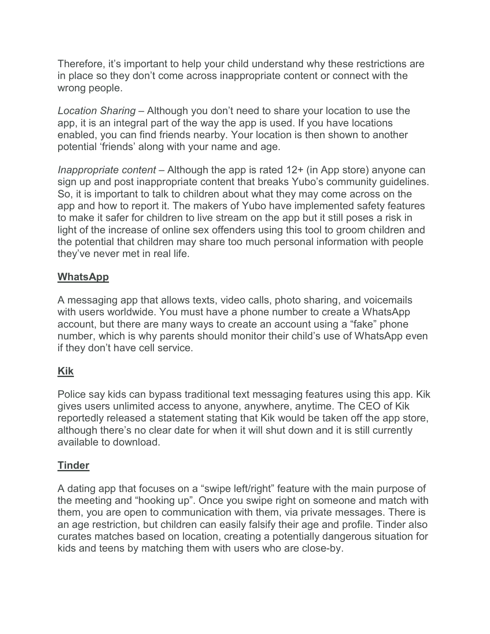Therefore, it's important to help your child understand why these restrictions are in place so they don't come across inappropriate content or connect with the wrong people.

*Location Sharing –* Although you don't need to share your location to use the app, it is an integral part of the way the app is used. If you have locations enabled, you can find friends nearby. Your location is then shown to another potential 'friends' along with your name and age.

*Inappropriate content –* Although the app is rated 12+ (in App store) anyone can sign up and post inappropriate content that breaks Yubo's community guidelines. So, it is important to talk to children about what they may come across on the app and how to report it. The makers of Yubo have implemented safety features to make it safer for children to live stream on the app but it still poses a risk in light of the increase of online sex offenders using this tool to groom children and the potential that children may share too much personal information with people they've never met in real life.

## **WhatsApp**

A messaging app that allows texts, video calls, photo sharing, and voicemails with users worldwide. You must have a phone number to create a WhatsApp account, but there are many ways to create an account using a "fake" phone number, which is why parents should monitor their child's use of WhatsApp even if they don't have cell service.

# **Kik**

Police say kids can bypass traditional text messaging features using this app. Kik gives users unlimited access to anyone, anywhere, anytime. The CEO of Kik reportedly released a statement stating that Kik would be taken off the app store, although there's no clear date for when it will shut down and it is still currently available to download.

## **Tinder**

A dating app that focuses on a "swipe left/right" feature with the main purpose of the meeting and "hooking up". Once you swipe right on someone and match with them, you are open to communication with them, via private messages. There is an age restriction, but children can easily falsify their age and profile. Tinder also curates matches based on location, creating a potentially dangerous situation for kids and teens by matching them with users who are close-by.